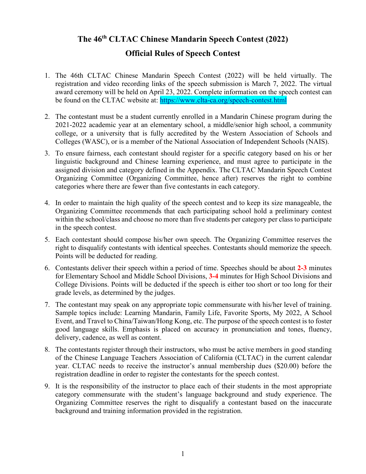## **The 46th CLTAC Chinese Mandarin Speech Contest (2022)**

## **Official Rules of Speech Contest**

- 1. The 46th CLTAC Chinese Mandarin Speech Contest (2022) will be held virtually. The registration and video recording links of the speech submission is March 7, 2022. The virtual award ceremony will be held on April 23, 2022. Complete information on the speech contest can be found on the CLTAC website at: <https://www.clta-ca.org/speech-contest.html>
- 2. The contestant must be a student currently enrolled in a Mandarin Chinese program during the 2021-2022 academic year at an elementary school, a middle/senior high school, a community college, or a university that is fully accredited by the Western Association of Schools and Colleges (WASC), or is a member of the National Association of Independent Schools (NAIS).
- 3. To ensure fairness, each contestant should register for a specific category based on his or her linguistic background and Chinese learning experience, and must agree to participate in the assigned division and category defined in the Appendix. The CLTAC Mandarin Speech Contest Organizing Committee (Organizing Committee, hence after) reserves the right to combine categories where there are fewer than five contestants in each category.
- 4. In order to maintain the high quality of the speech contest and to keep its size manageable, the Organizing Committee recommends that each participating school hold a preliminary contest within the school/class and choose no more than five students per category per class to participate in the speech contest.
- 5. Each contestant should compose his/her own speech. The Organizing Committee reserves the right to disqualify contestants with identical speeches. Contestants should memorize the speech. Points will be deducted for reading.
- 6. Contestants deliver their speech within a period of time. Speeches should be about **2-3** minutes for Elementary School and Middle School Divisions, **3-4** minutes for High School Divisions and College Divisions. Points will be deducted if the speech is either too short or too long for their grade levels, as determined by the judges.
- 7. The contestant may speak on any appropriate topic commensurate with his/her level of training. Sample topics include: Learning Mandarin, Family Life, Favorite Sports, My 2022, A School Event, and Travel to China/Taiwan/Hong Kong, etc. The purpose of the speech contest is to foster good language skills. Emphasis is placed on accuracy in pronunciation and tones, fluency, delivery, cadence, as well as content.
- 8. The contestants register through their instructors, who must be active members in good standing of the Chinese Language Teachers Association of California (CLTAC) in the current calendar year. CLTAC needs to receive the instructor's annual membership dues (\$20.00) before the registration deadline in order to register the contestants for the speech contest.
- 9. It is the responsibility of the instructor to place each of their students in the most appropriate category commensurate with the student's language background and study experience. The Organizing Committee reserves the right to disqualify a contestant based on the inaccurate background and training information provided in the registration.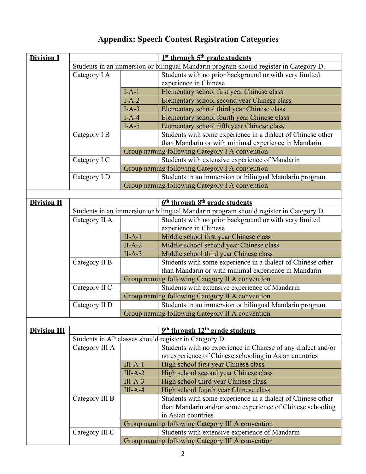| <b>Division I</b>   | $1st$ through $5th$ grade students                                                    |                                                  |                                                                                       |  |  |  |
|---------------------|---------------------------------------------------------------------------------------|--------------------------------------------------|---------------------------------------------------------------------------------------|--|--|--|
|                     | Students in an immersion or bilingual Mandarin program should register in Category D. |                                                  |                                                                                       |  |  |  |
|                     | Category I A                                                                          |                                                  | Students with no prior background or with very limited                                |  |  |  |
|                     |                                                                                       |                                                  | experience in Chinese                                                                 |  |  |  |
|                     |                                                                                       | $I-A-1$                                          | Elementary school first year Chinese class                                            |  |  |  |
|                     |                                                                                       | $I-A-2$                                          | Elementary school second year Chinese class                                           |  |  |  |
|                     |                                                                                       | $I-A-3$                                          | Elementary school third year Chinese class                                            |  |  |  |
|                     |                                                                                       | $I-A-4$                                          | Elementary school fourth year Chinese class                                           |  |  |  |
|                     |                                                                                       | $I-A-5$                                          | Elementary school fifth year Chinese class                                            |  |  |  |
|                     | Category I B                                                                          |                                                  | Students with some experience in a dialect of Chinese other                           |  |  |  |
|                     |                                                                                       |                                                  | than Mandarin or with minimal experience in Mandarin                                  |  |  |  |
|                     |                                                                                       |                                                  | Group naming following Category I A convention                                        |  |  |  |
|                     | Category I C                                                                          |                                                  | Students with extensive experience of Mandarin                                        |  |  |  |
|                     |                                                                                       |                                                  | Group naming following Category I A convention                                        |  |  |  |
|                     | Category I D                                                                          |                                                  | Students in an immersion or bilingual Mandarin program                                |  |  |  |
|                     |                                                                                       |                                                  | Group naming following Category I A convention                                        |  |  |  |
|                     |                                                                                       |                                                  |                                                                                       |  |  |  |
| <b>Division II</b>  | $6th$ through $8th$ grade students                                                    |                                                  |                                                                                       |  |  |  |
|                     |                                                                                       |                                                  | Students in an immersion or bilingual Mandarin program should register in Category D. |  |  |  |
|                     | Category II A                                                                         |                                                  | Students with no prior background or with very limited                                |  |  |  |
|                     |                                                                                       |                                                  | experience in Chinese                                                                 |  |  |  |
|                     |                                                                                       | $II-A-1$                                         | Middle school first year Chinese class                                                |  |  |  |
|                     |                                                                                       | $II-A-2$                                         | Middle school second year Chinese class                                               |  |  |  |
|                     |                                                                                       | $II-A-3$                                         | Middle school third year Chinese class                                                |  |  |  |
|                     | Category II B                                                                         |                                                  | Students with some experience in a dialect of Chinese other                           |  |  |  |
|                     |                                                                                       |                                                  | than Mandarin or with minimal experience in Mandarin                                  |  |  |  |
|                     |                                                                                       |                                                  | Group naming following Category II A convention                                       |  |  |  |
|                     | Category II C                                                                         |                                                  | Students with extensive experience of Mandarin                                        |  |  |  |
|                     |                                                                                       |                                                  | Group naming following Category II A convention                                       |  |  |  |
|                     | Category II D                                                                         |                                                  | Students in an immersion or bilingual Mandarin program                                |  |  |  |
|                     |                                                                                       |                                                  | Group naming following Category II A convention                                       |  |  |  |
|                     |                                                                                       |                                                  |                                                                                       |  |  |  |
| <b>Division III</b> | 9 <sup>th</sup> through 12 <sup>th</sup> grade students                               |                                                  |                                                                                       |  |  |  |
|                     | Students in AP classes should register in Category D.                                 |                                                  |                                                                                       |  |  |  |
|                     | Category III A                                                                        |                                                  | Students with no experience in Chinese of any dialect and/or                          |  |  |  |
|                     |                                                                                       |                                                  | no experience of Chinese schooling in Asian countries                                 |  |  |  |
|                     |                                                                                       | $III-A-1$                                        | High school first year Chinese class                                                  |  |  |  |
|                     |                                                                                       | $III-A-2$                                        | High school second year Chinese class                                                 |  |  |  |
|                     |                                                                                       | $III-A-3$                                        | High school third year Chinese class                                                  |  |  |  |
|                     |                                                                                       | $III-A-4$                                        | High school fourth year Chinese class                                                 |  |  |  |
|                     | Category III B                                                                        |                                                  | Students with some experience in a dialect of Chinese other                           |  |  |  |
|                     |                                                                                       |                                                  | than Mandarin and/or some experience of Chinese schooling                             |  |  |  |
|                     | in Asian countries<br>Group naming following Category III A convention                |                                                  |                                                                                       |  |  |  |
|                     |                                                                                       |                                                  |                                                                                       |  |  |  |
|                     | Category III C                                                                        |                                                  | Students with extensive experience of Mandarin                                        |  |  |  |
|                     |                                                                                       | Group naming following Category III A convention |                                                                                       |  |  |  |

## **Appendix: Speech Contest Registration Categories**